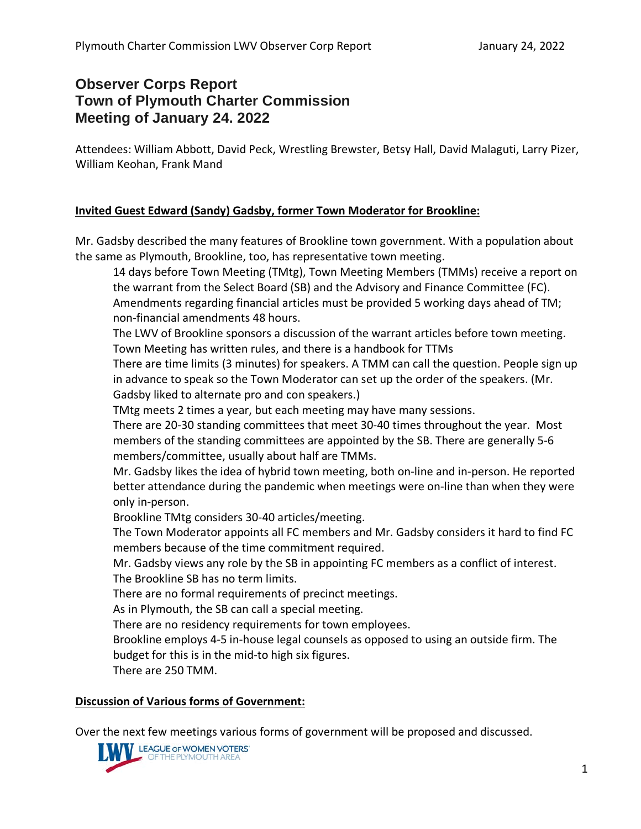# **Observer Corps Report Town of Plymouth Charter Commission Meeting of January 24. 2022**

Attendees: William Abbott, David Peck, Wrestling Brewster, Betsy Hall, David Malaguti, Larry Pizer, William Keohan, Frank Mand

# **Invited Guest Edward (Sandy) Gadsby, former Town Moderator for Brookline:**

Mr. Gadsby described the many features of Brookline town government. With a population about the same as Plymouth, Brookline, too, has representative town meeting.

14 days before Town Meeting (TMtg), Town Meeting Members (TMMs) receive a report on the warrant from the Select Board (SB) and the Advisory and Finance Committee (FC).

Amendments regarding financial articles must be provided 5 working days ahead of TM; non-financial amendments 48 hours.

The LWV of Brookline sponsors a discussion of the warrant articles before town meeting. Town Meeting has written rules, and there is a handbook for TTMs

There are time limits (3 minutes) for speakers. A TMM can call the question. People sign up in advance to speak so the Town Moderator can set up the order of the speakers. (Mr. Gadsby liked to alternate pro and con speakers.)

TMtg meets 2 times a year, but each meeting may have many sessions.

There are 20-30 standing committees that meet 30-40 times throughout the year. Most members of the standing committees are appointed by the SB. There are generally 5-6 members/committee, usually about half are TMMs.

Mr. Gadsby likes the idea of hybrid town meeting, both on-line and in-person. He reported better attendance during the pandemic when meetings were on-line than when they were only in-person.

Brookline TMtg considers 30-40 articles/meeting.

The Town Moderator appoints all FC members and Mr. Gadsby considers it hard to find FC members because of the time commitment required.

Mr. Gadsby views any role by the SB in appointing FC members as a conflict of interest. The Brookline SB has no term limits.

There are no formal requirements of precinct meetings.

As in Plymouth, the SB can call a special meeting.

There are no residency requirements for town employees.

Brookline employs 4-5 in-house legal counsels as opposed to using an outside firm. The budget for this is in the mid-to high six figures.

There are 250 TMM.

# **Discussion of Various forms of Government:**

Over the next few meetings various forms of government will be proposed and discussed.

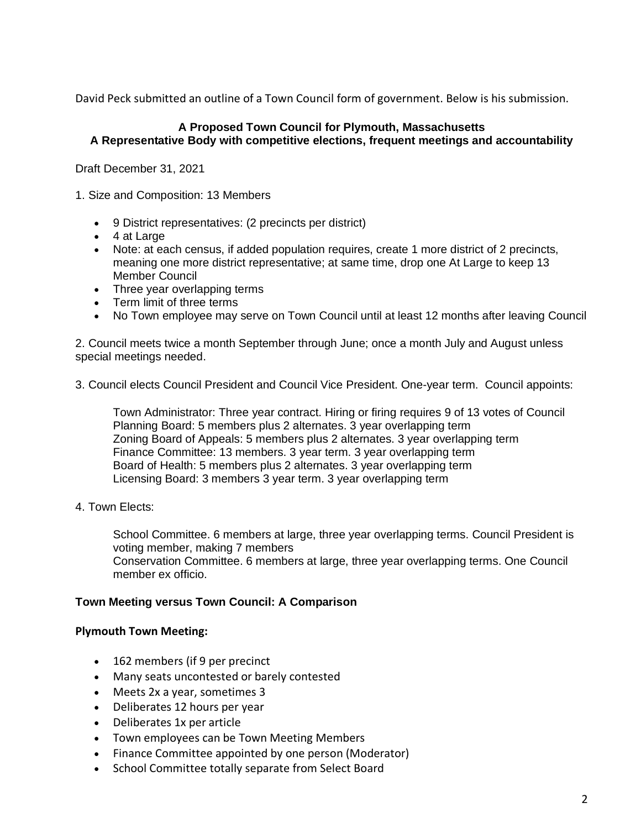David Peck submitted an outline of a Town Council form of government. Below is his submission.

### **A Proposed Town Council for Plymouth, Massachusetts A Representative Body with competitive elections, frequent meetings and accountability**

Draft December 31, 2021

1. Size and Composition: 13 Members

- 9 District representatives: (2 precincts per district)
- 4 at Large
- Note: at each census, if added population requires, create 1 more district of 2 precincts, meaning one more district representative; at same time, drop one At Large to keep 13 Member Council
- Three year overlapping terms
- Term limit of three terms
- No Town employee may serve on Town Council until at least 12 months after leaving Council

2. Council meets twice a month September through June; once a month July and August unless special meetings needed.

3. Council elects Council President and Council Vice President. One-year term. Council appoints:

Town Administrator: Three year contract. Hiring or firing requires 9 of 13 votes of Council Planning Board: 5 members plus 2 alternates. 3 year overlapping term Zoning Board of Appeals: 5 members plus 2 alternates. 3 year overlapping term Finance Committee: 13 members. 3 year term. 3 year overlapping term Board of Health: 5 members plus 2 alternates. 3 year overlapping term Licensing Board: 3 members 3 year term. 3 year overlapping term

4. Town Elects:

School Committee. 6 members at large, three year overlapping terms. Council President is voting member, making 7 members Conservation Committee. 6 members at large, three year overlapping terms. One Council member ex officio.

#### **Town Meeting versus Town Council: A Comparison**

#### **Plymouth Town Meeting:**

- 162 members (if 9 per precinct
- Many seats uncontested or barely contested
- Meets 2x a year, sometimes 3
- Deliberates 12 hours per year
- Deliberates 1x per article
- Town employees can be Town Meeting Members
- Finance Committee appointed by one person (Moderator)
- School Committee totally separate from Select Board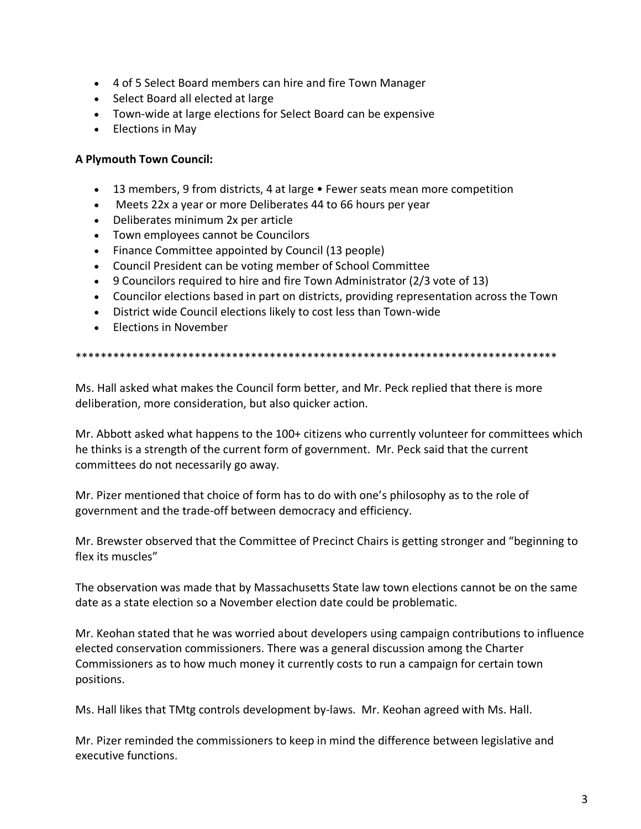- 4 of 5 Select Board members can hire and fire Town Manager
- Select Board all elected at large
- Town-wide at large elections for Select Board can be expensive
- Elections in May

### **A Plymouth Town Council:**

- 13 members, 9 from districts, 4 at large Fewer seats mean more competition
- Meets 22x a year or more Deliberates 44 to 66 hours per year
- Deliberates minimum 2x per article
- Town employees cannot be Councilors
- Finance Committee appointed by Council (13 people)
- Council President can be voting member of School Committee
- 9 Councilors required to hire and fire Town Administrator (2/3 vote of 13)
- Councilor elections based in part on districts, providing representation across the Town
- District wide Council elections likely to cost less than Town-wide
- Elections in November

#### \*\*\*\*\*\*\*\*\*\*\*\*\*\*\*\*\*\*\*\*\*\*\*\*\*\*\*\*\*\*\*\*\*\*\*\*\*\*\*\*\*\*\*\*\*\*\*\*\*\*\*\*\*\*\*\*\*\*\*\*\*\*\*\*\*\*\*\*\*\*\*\*\*\*\*\*\*

Ms. Hall asked what makes the Council form better, and Mr. Peck replied that there is more deliberation, more consideration, but also quicker action.

Mr. Abbott asked what happens to the 100+ citizens who currently volunteer for committees which he thinks is a strength of the current form of government. Mr. Peck said that the current committees do not necessarily go away.

Mr. Pizer mentioned that choice of form has to do with one's philosophy as to the role of government and the trade-off between democracy and efficiency.

Mr. Brewster observed that the Committee of Precinct Chairs is getting stronger and "beginning to flex its muscles"

The observation was made that by Massachusetts State law town elections cannot be on the same date as a state election so a November election date could be problematic.

Mr. Keohan stated that he was worried about developers using campaign contributions to influence elected conservation commissioners. There was a general discussion among the Charter Commissioners as to how much money it currently costs to run a campaign for certain town positions.

Ms. Hall likes that TMtg controls development by-laws. Mr. Keohan agreed with Ms. Hall.

Mr. Pizer reminded the commissioners to keep in mind the difference between legislative and executive functions.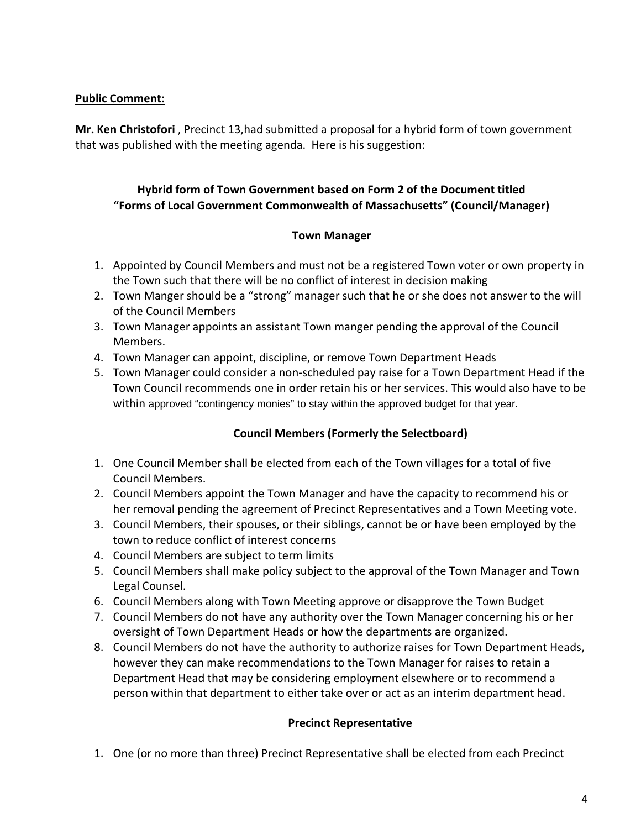# **Public Comment:**

**Mr. Ken Christofori** , Precinct 13,had submitted a proposal for a hybrid form of town government that was published with the meeting agenda. Here is his suggestion:

# **Hybrid form of Town Government based on Form 2 of the Document titled "Forms of Local Government Commonwealth of Massachusetts" (Council/Manager)**

### **Town Manager**

- 1. Appointed by Council Members and must not be a registered Town voter or own property in the Town such that there will be no conflict of interest in decision making
- 2. Town Manger should be a "strong" manager such that he or she does not answer to the will of the Council Members
- 3. Town Manager appoints an assistant Town manger pending the approval of the Council Members.
- 4. Town Manager can appoint, discipline, or remove Town Department Heads
- 5. Town Manager could consider a non-scheduled pay raise for a Town Department Head if the Town Council recommends one in order retain his or her services. This would also have to be within approved "contingency monies" to stay within the approved budget for that year.

# **Council Members (Formerly the Selectboard)**

- 1. One Council Member shall be elected from each of the Town villages for a total of five Council Members.
- 2. Council Members appoint the Town Manager and have the capacity to recommend his or her removal pending the agreement of Precinct Representatives and a Town Meeting vote.
- 3. Council Members, their spouses, or their siblings, cannot be or have been employed by the town to reduce conflict of interest concerns
- 4. Council Members are subject to term limits
- 5. Council Members shall make policy subject to the approval of the Town Manager and Town Legal Counsel.
- 6. Council Members along with Town Meeting approve or disapprove the Town Budget
- 7. Council Members do not have any authority over the Town Manager concerning his or her oversight of Town Department Heads or how the departments are organized.
- 8. Council Members do not have the authority to authorize raises for Town Department Heads, however they can make recommendations to the Town Manager for raises to retain a Department Head that may be considering employment elsewhere or to recommend a person within that department to either take over or act as an interim department head.

# **Precinct Representative**

1. One (or no more than three) Precinct Representative shall be elected from each Precinct